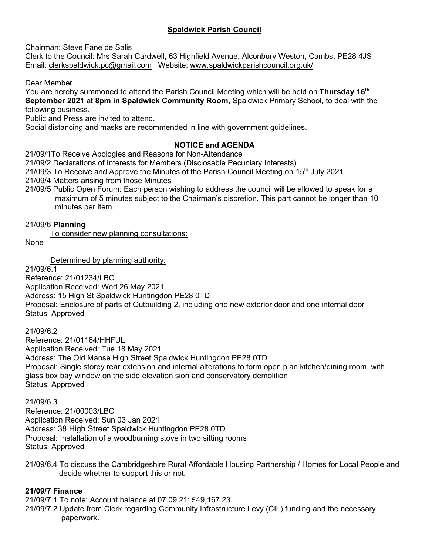# **Spaldwick Parish Council**

Chairman: Steve Fane de Salis

Clerk to the Council: Mrs Sarah Cardwell, 63 Highfield Avenue, Alconbury Weston, Cambs. PE28 4JS Email: [clerkspaldwick.pc@gmail.com](mailto:clerkspaldwick.pc@gmail.com) Website: [www.spaldwickparishcouncil.org.uk/](http://www.spaldwickparishcouncil.org.uk/)

Dear Member

You are hereby summoned to attend the Parish Council Meeting which will be held on Thursday 16<sup>th</sup> **September 2021** at **8pm in Spaldwick Community Room**, Spaldwick Primary School, to deal with the following business.

Public and Press are invited to attend.

Social distancing and masks are recommended in line with government guidelines.

## **NOTICE and AGENDA**

21/09/1To Receive Apologies and Reasons for Non-Attendance

21/09/2 Declarations of Interests for Members (Disclosable Pecuniary Interests)

21/09/3 To Receive and Approve the Minutes of the Parish Council Meeting on 15<sup>th</sup> July 2021.

21/09/4 Matters arising from those Minutes

21/09/5 Public Open Forum: Each person wishing to address the council will be allowed to speak for a maximum of 5 minutes subject to the Chairman's discretion. This part cannot be longer than 10 minutes per item.

### 21/09/6 **Planning**

To consider new planning consultations:

None

Determined by planning authority:

21/09/6.1

Reference: 21/01234/LBC Application Received: Wed 26 May 2021 Address: 15 High St Spaldwick Huntingdon PE28 0TD Proposal: Enclosure of parts of Outbuilding 2, including one new exterior door and one internal door Status: Approved

21/09/6.2

Reference: 21/01164/HHFUL Application Received: Tue 18 May 2021 Address: The Old Manse High Street Spaldwick Huntingdon PE28 0TD Proposal: Single storey rear extension and internal alterations to form open plan kitchen/dining room, with glass box bay window on the side elevation sion and conservatory demolition Status: Approved

21/09/6.3

Reference: 21/00003/LBC Application Received: Sun 03 Jan 2021 Address: 38 High Street Spaldwick Huntingdon PE28 0TD Proposal: Installation of a woodburning stove in two sitting rooms Status: Approved

21/09/6.4 To discuss the Cambridgeshire Rural Affordable Housing Partnership / Homes for Local People and decide whether to support this or not.

## **21/09/7 Finance**

21/09/7.1 To note: Account balance at 07.09.21: £49,167.23.

21/09/7.2 Update from Clerk regarding Community Infrastructure Levy (CIL) funding and the necessary paperwork.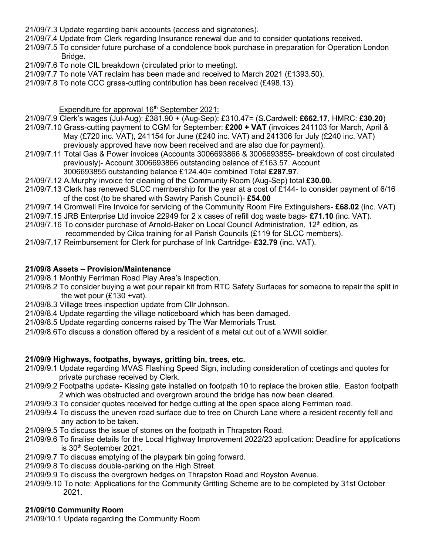- 21/09/7.3 Update regarding bank accounts (access and signatories).
- 21/09/7.4 Update from Clerk regarding Insurance renewal due and to consider quotations received.
- 21/09/7.5 To consider future purchase of a condolence book purchase in preparation for Operation London Bridge.
- 21/09/7.6 To note CIL breakdown (circulated prior to meeting).
- 21/09/7.7 To note VAT reclaim has been made and received to March 2021 (£1393.50).
- 21/09/7.8 To note CCC grass-cutting contribution has been received (£498.13).

#### Expenditure for approval 16<sup>th</sup> September 2021:

- 21/09/7.9 Clerk's wages (Jul-Aug): £381.90 + (Aug-Sep): £310.47= (S.Cardwell: **£662.17**, HMRC: **£30.20**)
- 21/09/7.10 Grass-cutting payment to CGM for September: **£200 + VAT** (invoices 241103 for March, April & May (£720 inc. VAT), 241154 for June (£240 inc. VAT) and 241306 for July (£240 inc. VAT)
	- previously approved have now been received and are also due for payment).
- 21/09/7.11 Total Gas & Power invoices (Accounts 3006693866 & 3006693855- breakdown of cost circulated previously)- Account 3006693866 outstanding balance of £163.57. Account
	- 3006693855 outstanding balance £124.40= combined Total **£287.97**.
- 21/09/7.12 A.Murphy invoice for cleaning of the Community Room (Aug-Sep) total **£30.00.**
- 21/09/7.13 Clerk has renewed SLCC membership for the year at a cost of £144- to consider payment of 6/16 of the cost (to be shared with Sawtry Parish Council)- **£54.00**
- 21/09/7.14 Cromwell Fire Invoice for servicing of the Community Room Fire Extinguishers- **£68.02** (inc. VAT)
- 21/09/7.15 JRB Enterprise Ltd invoice 22949 for 2 x cases of refill dog waste bags- **£71.10** (inc. VAT).
- 21/09/7.16 To consider purchase of Arnold-Baker on Local Council Administration, 12<sup>th</sup> edition, as recommended by Cilca training for all Parish Councils (£119 for SLCC members).
- 21/09/7.17 Reimbursement for Clerk for purchase of Ink Cartridge- **£32.79** (inc. VAT).

#### **21/09/8 Assets – Provision/Maintenance**

21/09/8.1 Monthly Ferriman Road Play Area's Inspection.

- 21/09/8.2 To consider buying a wet pour repair kit from RTC Safety Surfaces for someone to repair the split in the wet pour  $(E130 + \text{vat})$ .
- 21/09/8.3 Village trees inspection update from Cllr Johnson.
- 21/09/8.4 Update regarding the village noticeboard which has been damaged.
- 21/09/8.5 Update regarding concerns raised by The War Memorials Trust.
- 21/09/8.6To discuss a donation offered by a resident of a metal cut out of a WWII soldier.

#### **21/09/9 Highways, footpaths, byways, gritting bin, trees, etc.**

- 21/09/9.1 Update regarding MVAS Flashing Speed Sign, including consideration of costings and quotes for private purchase received by Clerk.
- 21/09/9.2 Footpaths update- Kissing gate installed on footpath 10 to replace the broken stile. Easton footpath 2 which was obstructed and overgrown around the bridge has now been cleared.
- 21/09/9.3 To consider quotes received for hedge cutting at the open space along Ferriman road.
- 21/09/9.4 To discuss the uneven road surface due to tree on Church Lane where a resident recently fell and any action to be taken.
- 21/09/9.5 To discuss the issue of stones on the footpath in Thrapston Road.
- 21/09/9.6 To finalise details for the Local Highway Improvement 2022/23 application: Deadline for applications is 30<sup>th</sup> September 2021.
- 21/09/9.7 To discuss emptying of the playpark bin going forward.
- 21/09/9.8 To discuss double-parking on the High Street.
- 21/09/9.9 To discuss the overgrown hedges on Thrapston Road and Royston Avenue.
- 21/09/9.10 To note: Applications for the Community Gritting Scheme are to be completed by 31st October 2021.

#### **21/09/10 Community Room**

21/09/10.1 Update regarding the Community Room